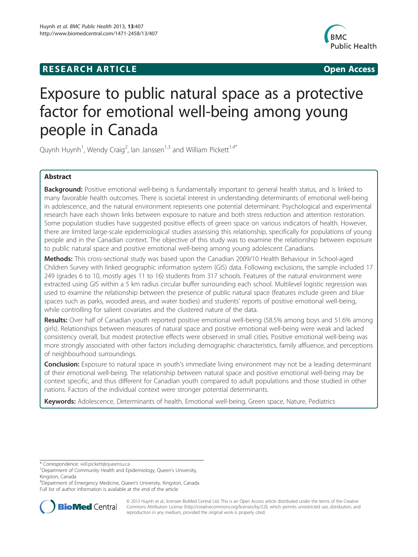# **RESEARCH ARTICLE Example 2014 12:30 The SEAR CHIPS 2014 12:30 The SEAR CHIPS 2014 12:30 The SEAR CHIPS 2014 12:30 The SEAR CHIPS 2014 12:30 The SEAR CHIPS 2014 12:30 THE SEARCH ARTICLE**



# Exposure to public natural space as a protective factor for emotional well-being among young people in Canada

Quynh Huynh<sup>1</sup>, Wendy Craig<sup>2</sup>, lan Janssen<sup>1,3</sup> and William Pickett<sup>1,4\*</sup>

# Abstract

Background: Positive emotional well-being is fundamentally important to general health status, and is linked to many favorable health outcomes. There is societal interest in understanding determinants of emotional well-being in adolescence, and the natural environment represents one potential determinant. Psychological and experimental research have each shown links between exposure to nature and both stress reduction and attention restoration. Some population studies have suggested positive effects of green space on various indicators of health. However, there are limited large-scale epidemiological studies assessing this relationship, specifically for populations of young people and in the Canadian context. The objective of this study was to examine the relationship between exposure to public natural space and positive emotional well-being among young adolescent Canadians.

Methods: This cross-sectional study was based upon the Canadian 2009/10 Health Behaviour in School-aged Children Survey with linked geographic information system (GIS) data. Following exclusions, the sample included 17 249 (grades 6 to 10, mostly ages 11 to 16) students from 317 schools. Features of the natural environment were extracted using GIS within a 5 km radius circular buffer surrounding each school. Multilevel logistic regression was used to examine the relationship between the presence of public natural space (features include green and blue spaces such as parks, wooded areas, and water bodies) and students' reports of positive emotional well-being, while controlling for salient covariates and the clustered nature of the data.

Results: Over half of Canadian youth reported positive emotional well-being (58.5% among boys and 51.6% among girls). Relationships between measures of natural space and positive emotional well-being were weak and lacked consistency overall, but modest protective effects were observed in small cities. Positive emotional well-being was more strongly associated with other factors including demographic characteristics, family affluence, and perceptions of neighbourhood surroundings.

Conclusion: Exposure to natural space in youth's immediate living environment may not be a leading determinant of their emotional well-being. The relationship between natural space and positive emotional well-being may be context specific, and thus different for Canadian youth compared to adult populations and those studied in other nations. Factors of the individual context were stronger potential determinants.

Keywords: Adolescence, Determinants of health, Emotional well-being, Green space, Nature, Pediatrics

\* Correspondence: [will.pickett@queensu.ca](mailto:will.pickett@queensu.ca) <sup>1</sup>

4 Department of Emergency Medicine, Queen's University, Kingston, Canada Full list of author information is available at the end of the article



© 2013 Huynh et al.; licensee BioMed Central Ltd. This is an Open Access article distributed under the terms of the Creative Commons Attribution License [\(http://creativecommons.org/licenses/by/2.0\)](http://creativecommons.org/licenses/by/2.0), which permits unrestricted use, distribution, and reproduction in any medium, provided the original work is properly cited.

Department of Community Health and Epidemiology, Queen's University, Kingston, Canada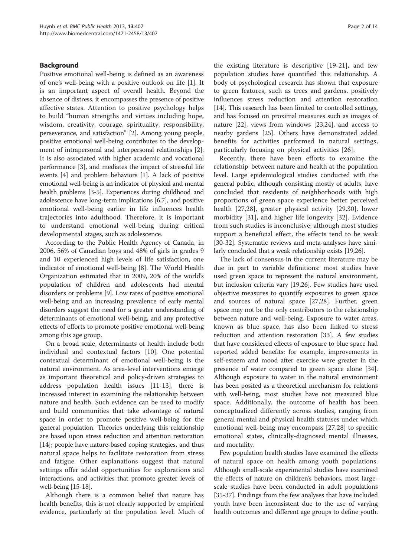# Background

Positive emotional well-being is defined as an awareness of one's well-being with a positive outlook on life [\[1](#page-11-0)]. It is an important aspect of overall health. Beyond the absence of distress, it encompasses the presence of positive affective states. Attention to positive psychology helps to build "human strengths and virtues including hope, wisdom, creativity, courage, spirituality, responsibility, perseverance, and satisfaction" [\[2\]](#page-11-0). Among young people, positive emotional well-being contributes to the development of intrapersonal and interpersonal relationships [[2](#page-11-0)]. It is also associated with higher academic and vocational performance [\[3\]](#page-11-0), and mediates the impact of stressful life events [\[4](#page-11-0)] and problem behaviors [[1\]](#page-11-0). A lack of positive emotional well-being is an indicator of physical and mental health problems [\[3-5\]](#page-11-0). Experiences during childhood and adolescence have long-term implications [\[6,7](#page-11-0)], and positive emotional well-being earlier in life influences health trajectories into adulthood. Therefore, it is important to understand emotional well-being during critical developmental stages, such as adolescence.

According to the Public Health Agency of Canada, in 2006, 56% of Canadian boys and 48% of girls in grades 9 and 10 experienced high levels of life satisfaction, one indicator of emotional well-being [\[8](#page-11-0)]. The World Health Organization estimated that in 2009, 20% of the world's population of children and adolescents had mental disorders or problems [[9\]](#page-11-0). Low rates of positive emotional well-being and an increasing prevalence of early mental disorders suggest the need for a greater understanding of determinants of emotional well-being, and any protective effects of efforts to promote positive emotional well-being among this age group.

On a broad scale, determinants of health include both individual and contextual factors [[10\]](#page-11-0). One potential contextual determinant of emotional well-being is the natural environment. As area-level interventions emerge as important theoretical and policy-driven strategies to address population health issues [[11](#page-11-0)-[13\]](#page-11-0), there is increased interest in examining the relationship between nature and health. Such evidence can be used to modify and build communities that take advantage of natural space in order to promote positive well-being for the general population. Theories underlying this relationship are based upon stress reduction and attention restoration [[14](#page-11-0)]; people have nature-based coping strategies, and thus natural space helps to facilitate restoration from stress and fatigue. Other explanations suggest that natural settings offer added opportunities for explorations and interactions, and activities that promote greater levels of well-being [[15](#page-12-0)-[18](#page-12-0)].

Although there is a common belief that nature has health benefits, this is not clearly supported by empirical evidence, particularly at the population level. Much of

the existing literature is descriptive [\[19-21](#page-12-0)], and few population studies have quantified this relationship. A body of psychological research has shown that exposure to green features, such as trees and gardens, positively influences stress reduction and attention restoration [[14](#page-11-0)]. This research has been limited to controlled settings, and has focused on proximal measures such as images of nature [\[22\]](#page-12-0), views from windows [[23,24](#page-12-0)], and access to nearby gardens [[25](#page-12-0)]. Others have demonstrated added benefits for activities performed in natural settings, particularly focusing on physical activities [\[26](#page-12-0)].

Recently, there have been efforts to examine the relationship between nature and health at the population level. Large epidemiological studies conducted with the general public, although consisting mostly of adults, have concluded that residents of neighborhoods with high proportions of green space experience better perceived health [[27,28](#page-12-0)], greater physical activity [[29,30\]](#page-12-0), lower morbidity [[31\]](#page-12-0), and higher life longevity [\[32](#page-12-0)]. Evidence from such studies is inconclusive; although most studies support a beneficial effect, the effects tend to be weak [[30](#page-12-0)-[32\]](#page-12-0). Systematic reviews and meta-analyses have similarly concluded that a weak relationship exists [\[19,26](#page-12-0)].

The lack of consensus in the current literature may be due in part to variable definitions: most studies have used green space to represent the natural environment, but inclusion criteria vary [[19,26\]](#page-12-0). Few studies have used objective measures to quantify exposures to green space and sources of natural space [\[27,28\]](#page-12-0). Further, green space may not be the only contributors to the relationship between nature and well-being. Exposure to water areas, known as blue space, has also been linked to stress reduction and attention restoration [\[33](#page-12-0)]. A few studies that have considered effects of exposure to blue space had reported added benefits: for example, improvements in self-esteem and mood after exercise were greater in the presence of water compared to green space alone [[34](#page-12-0)]. Although exposure to water in the natural environment has been posited as a theoretical mechanism for relations with well-being, most studies have not measured blue space. Additionally, the outcome of health has been conceptualized differently across studies, ranging from general mental and physical health statuses under which emotional well-being may encompass [[27,28\]](#page-12-0) to specific emotional states, clinically-diagnosed mental illnesses, and mortality.

Few population health studies have examined the effects of natural space on health among youth populations. Although small-scale experimental studies have examined the effects of nature on children's behaviors, most largescale studies have been conducted in adult populations [[35](#page-12-0)-[37\]](#page-12-0). Findings from the few analyses that have included youth have been inconsistent due to the use of varying health outcomes and different age groups to define youth.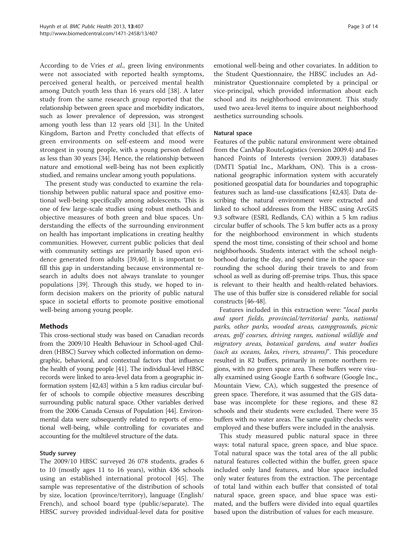According to de Vries et al., green living environments were not associated with reported health symptoms, perceived general health, or perceived mental health among Dutch youth less than 16 years old [[38\]](#page-12-0). A later study from the same research group reported that the relationship between green space and morbidity indicators, such as lower prevalence of depression, was strongest among youth less than 12 years old [\[31\]](#page-12-0). In the United Kingdom, Barton and Pretty concluded that effects of green environments on self-esteem and mood were strongest in young people, with a young person defined as less than 30 years [[34](#page-12-0)]. Hence, the relationship between nature and emotional well-being has not been explicitly studied, and remains unclear among youth populations.

The present study was conducted to examine the relationship between public natural space and positive emotional well-being specifically among adolescents. This is one of few large-scale studies using robust methods and objective measures of both green and blue spaces. Understanding the effects of the surrounding environment on health has important implications in creating healthy communities. However, current public policies that deal with community settings are primarily based upon evidence generated from adults [[39](#page-12-0),[40](#page-12-0)]. It is important to fill this gap in understanding because environmental research in adults does not always translate to younger populations [\[39](#page-12-0)]. Through this study, we hoped to inform decision makers on the priority of public natural space in societal efforts to promote positive emotional well-being among young people.

# Methods

This cross-sectional study was based on Canadian records from the 2009/10 Health Behaviour in School-aged Children (HBSC) Survey which collected information on demographic, behavioral, and contextual factors that influence the health of young people [\[41](#page-12-0)]. The individual-level HBSC records were linked to area-level data from a geographic information system [[42,43\]](#page-12-0) within a 5 km radius circular buffer of schools to compile objective measures describing surrounding public natural space. Other variables derived from the 2006 Canada Census of Population [[44](#page-12-0)]. Environmental data were subsequently related to reports of emotional well-being, while controlling for covariates and accounting for the multilevel structure of the data.

# Study survey

The 2009/10 HBSC surveyed 26 078 students, grades 6 to 10 (mostly ages 11 to 16 years), within 436 schools using an established international protocol [\[45\]](#page-12-0). The sample was representative of the distribution of schools by size, location (province/territory), language (English/ French), and school board type (public/separate). The HBSC survey provided individual-level data for positive emotional well-being and other covariates. In addition to the Student Questionnaire, the HBSC includes an Administrator Questionnaire completed by a principal or vice-principal, which provided information about each school and its neighborhood environment. This study used two area-level items to inquire about neighborhood aesthetics surrounding schools.

# Natural space

Features of the public natural environment were obtained from the CanMap RouteLogistics (version 2009.4) and Enhanced Points of Interests (version 2009.3) databases (DMTI Spatial Inc., Markham, ON). This is a crossnational geographic information system with accurately positioned geospatial data for boundaries and topographic features such as land-use classifications [[42,43](#page-12-0)]. Data describing the natural environment were extracted and linked to school addresses from the HBSC using ArcGIS 9.3 software (ESRI, Redlands, CA) within a 5 km radius circular buffer of schools. The 5 km buffer acts as a proxy for the neighborhood environment in which students spend the most time, consisting of their school and home neighborhoods. Students interact with the school neighborhood during the day, and spend time in the space surrounding the school during their travels to and from school as well as during off-premise trips. Thus, this space is relevant to their health and health-related behaviors. The use of this buffer size is considered reliable for social constructs [[46-48\]](#page-12-0).

Features included in this extraction were: "local parks and sport fields, provincial/territorial parks, national parks, other parks, wooded areas, campgrounds, picnic areas, golf courses, driving ranges, national wildlife and migratory areas, botanical gardens, and water bodies (such as oceans, lakes, rivers, streams)". This procedure resulted in 82 buffers, primarily in remote northern regions, with no green space area. These buffers were visually examined using Google Earth 6 software (Google Inc., Mountain View, CA), which suggested the presence of green space. Therefore, it was assumed that the GIS database was incomplete for these regions, and these 82 schools and their students were excluded. There were 35 buffers with no water areas. The same quality checks were employed and these buffers were included in the analysis.

This study measured public natural space in three ways: total natural space, green space, and blue space. Total natural space was the total area of the all public natural features collected within the buffer, green space included only land features, and blue space included only water features from the extraction. The percentage of total land within each buffer that consisted of total natural space, green space, and blue space was estimated, and the buffers were divided into equal quartiles based upon the distribution of values for each measure.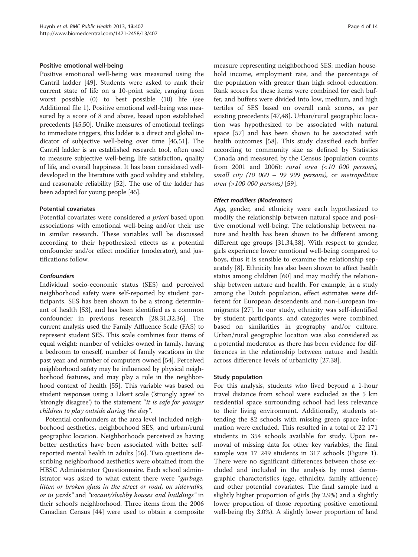#### Positive emotional well-being

Positive emotional well-being was measured using the Cantril ladder [\[49](#page-12-0)]. Students were asked to rank their current state of life on a 10-point scale, ranging from worst possible (0) to best possible (10) life (see Additional file [1](#page-11-0)). Positive emotional well-being was measured by a score of 8 and above, based upon established precedents [\[45,50\]](#page-12-0). Unlike measures of emotional feelings to immediate triggers, this ladder is a direct and global indicator of subjective well-being over time [[45](#page-12-0),[51](#page-12-0)]. The Cantril ladder is an established research tool, often used to measure subjective well-being, life satisfaction, quality of life, and overall happiness. It has been considered welldeveloped in the literature with good validity and stability, and reasonable reliability [\[52\]](#page-12-0). The use of the ladder has been adapted for young people [[45](#page-12-0)].

#### Potential covariates

Potential covariates were considered a priori based upon associations with emotional well-being and/or their use in similar research. These variables will be discussed according to their hypothesized effects as a potential confounder and/or effect modifier (moderator), and justifications follow.

#### Confounders

Individual socio-economic status (SES) and perceived neighborhood safety were self-reported by student participants. SES has been shown to be a strong determinant of health [\[53](#page-12-0)], and has been identified as a common confounder in previous research [[28](#page-12-0),[31,32,36](#page-12-0)]. The current analysis used the Family Affluence Scale (FAS) to represent student SES. This scale combines four items of equal weight: number of vehicles owned in family, having a bedroom to oneself, number of family vacations in the past year, and number of computers owned [[54\]](#page-12-0). Perceived neighborhood safety may be influenced by physical neighborhood features, and may play a role in the neighborhood context of health [\[55\]](#page-12-0). This variable was based on student responses using a Likert scale ('strongly agree' to 'strongly disagree') to the statement "it is safe for younger children to play outside during the day".

Potential confounders at the area level included neighborhood aesthetics, neighborhood SES, and urban/rural geographic location. Neighborhoods perceived as having better aesthetics have been associated with better selfreported mental health in adults [[56\]](#page-12-0). Two questions describing neighborhood aesthetics were obtained from the HBSC Administrator Questionnaire. Each school administrator was asked to what extent there were "garbage, litter, or broken glass in the street or road, on sidewalks, or in yards" and "vacant/shabby houses and buildings" in their school's neighborhood. Three items from the 2006 Canadian Census [[44](#page-12-0)] were used to obtain a composite

measure representing neighborhood SES: median household income, employment rate, and the percentage of the population with greater than high school education. Rank scores for these items were combined for each buffer, and buffers were divided into low, medium, and high tertiles of SES based on overall rank scores, as per existing precedents [\[47,48](#page-12-0)]. Urban/rural geographic location was hypothesized to be associated with natural space [[57\]](#page-12-0) and has been shown to be associated with health outcomes [[58](#page-12-0)]. This study classified each buffer according to community size as defined by Statistics Canada and measured by the Census (population counts from 2001 and 2006): *rural area*  $\left(\frac{10000}{2000}\right)$  persons), small city (10 000 – 99 999 persons), or metropolitan area (>100 000 persons) [\[59\]](#page-12-0).

#### Effect modifiers (Moderators)

Age, gender, and ethnicity were each hypothesized to modify the relationship between natural space and positive emotional well-being. The relationship between nature and health has been shown to be different among different age groups [[31,34,38\]](#page-12-0). With respect to gender, girls experience lower emotional well-being compared to boys, thus it is sensible to examine the relationship separately [[8\]](#page-11-0). Ethnicity has also been shown to affect health status among children [\[60\]](#page-12-0) and may modify the relationship between nature and health. For example, in a study among the Dutch population, effect estimates were different for European descendents and non-European immigrants [[27\]](#page-12-0). In our study, ethnicity was self-identified by student participants, and categories were combined based on similarities in geography and/or culture. Urban/rural geographic location was also considered as a potential moderator as there has been evidence for differences in the relationship between nature and health across difference levels of urbanicity [\[27,38\]](#page-12-0).

#### Study population

For this analysis, students who lived beyond a 1-hour travel distance from school were excluded as the 5 km residential space surrounding school had less relevance to their living environment. Additionally, students attending the 82 schools with missing green space information were excluded. This resulted in a total of 22 171 students in 354 schools available for study. Upon removal of missing data for other key variables, the final sample was 17 249 students in 317 schools (Figure [1](#page-4-0)). There were no significant differences between those excluded and included in the analysis by most demographic characteristics (age, ethnicity, family affluence) and other potential covariates. The final sample had a slightly higher proportion of girls (by 2.9%) and a slightly lower proportion of those reporting positive emotional well-being (by 3.0%). A slightly lower proportion of land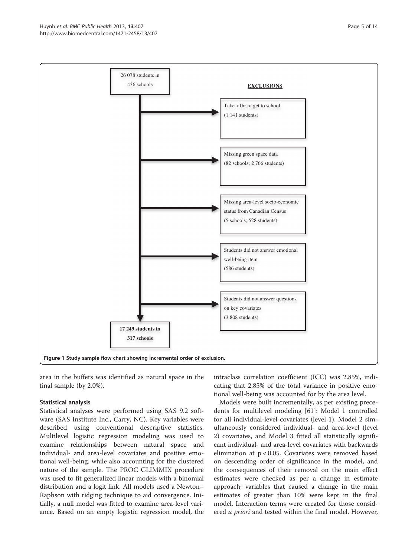<span id="page-4-0"></span>

area in the buffers was identified as natural space in the final sample (by 2.0%).

# Statistical analysis

Statistical analyses were performed using SAS 9.2 software (SAS Institute Inc., Carry, NC). Key variables were described using conventional descriptive statistics. Multilevel logistic regression modeling was used to examine relationships between natural space and individual- and area-level covariates and positive emotional well-being, while also accounting for the clustered nature of the sample. The PROC GLIMMIX procedure was used to fit generalized linear models with a binomial distribution and a logit link. All models used a Newton– Raphson with ridging technique to aid convergence. Initially, a null model was fitted to examine area-level variance. Based on an empty logistic regression model, the intraclass correlation coefficient (ICC) was 2.85%, indicating that 2.85% of the total variance in positive emotional well-being was accounted for by the area level.

Models were built incrementally, as per existing precedents for multilevel modeling [\[61](#page-12-0)]: Model 1 controlled for all individual-level covariates (level 1), Model 2 simultaneously considered individual- and area-level (level 2) covariates, and Model 3 fitted all statistically significant individual- and area-level covariates with backwards elimination at p < 0.05. Covariates were removed based on descending order of significance in the model, and the consequences of their removal on the main effect estimates were checked as per a change in estimate approach; variables that caused a change in the main estimates of greater than 10% were kept in the final model. Interaction terms were created for those considered *a priori* and tested within the final model. However,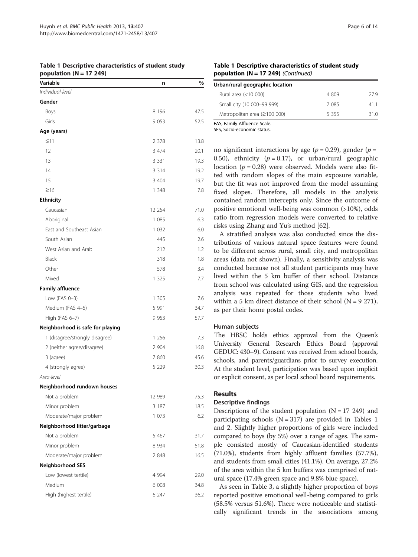| Table 1 Descriptive characteristics of student study |  |
|------------------------------------------------------|--|
| population $(N = 17 249)$                            |  |

| Variable                         | n       | %    |
|----------------------------------|---------|------|
| Individual-level                 |         |      |
| Gender                           |         |      |
| Boys                             | 8 1 9 6 | 47.5 |
| Girls                            | 9 0 5 3 | 52.5 |
| Age (years)                      |         |      |
| $\leq$ 11                        | 2 3 7 8 | 13.8 |
| 12                               | 3 4 7 4 | 20.1 |
| 13                               | 3 3 3 1 | 19.3 |
| 14                               | 3 3 1 4 | 19.2 |
| 15                               | 3 4 0 4 | 19.7 |
| $\geq 16$                        | 1 3 4 8 | 7.8  |
| <b>Ethnicity</b>                 |         |      |
| Caucasian                        | 12 254  | 71.0 |
| Aboriginal                       | 1 0 8 5 | 6.3  |
| East and Southeast Asian         | 1 0 3 2 | 6.0  |
| South Asian                      | 445     | 2.6  |
| West Asian and Arab              | 212     | 1.2  |
| Black                            | 318     | 1.8  |
| Other                            | 578     | 3.4  |
| Mixed                            | 1 3 2 5 | 7.7  |
| <b>Family affluence</b>          |         |      |
| Low (FAS 0-3)                    | 1 3 0 5 | 7.6  |
| Medium (FAS 4-5)                 | 5 9 9 1 | 34.7 |
| High (FAS 6-7)                   | 9 9 5 3 | 57.7 |
| Neighborhood is safe for playing |         |      |
| 1 (disagree/strongly disagree)   | 1 256   | 7.3  |
| 2 (neither agree/disagree)       | 2 9 0 4 | 16.8 |
| 3 (agree)                        | 7 8 6 0 | 45.6 |
| 4 (strongly agree)               | 5 2 2 9 | 30.3 |
| Area-level                       |         |      |
| Neighborhood rundown houses      |         |      |
| Not a problem                    | 12 989  | 75.3 |
| Minor problem                    | 3 1 8 7 | 18.5 |
| Moderate/major problem           | 1 0 7 3 | 6.2  |
| Neighborhood litter/garbage      |         |      |
| Not a problem                    | 5 4 6 7 | 31.7 |
| Minor problem                    | 8 9 3 4 | 51.8 |
| Moderate/major problem           | 2 8 4 8 | 16.5 |
| <b>Neighborhood SES</b>          |         |      |
| Low (lowest tertile)             | 4 9 9 4 | 29.0 |
| Medium                           | 6 0 0 8 | 34.8 |
| High (highest tertile)           | 6 2 4 7 | 36.2 |

# Table 1 Descriptive characteristics of student study population  $(N = 17 249)$  (Continued)

| Urban/rural geographic location |       |      |
|---------------------------------|-------|------|
| Rural area (<10 000)            | 4 809 | 279  |
| Small city (10 000-99 999)      | 7 085 | 411  |
| Metropolitan area (≥100 000)    | 5355  | 31 O |

FAS, Family Affluence Scale.

SES, Socio-economic status.

no significant interactions by age ( $p = 0.29$ ), gender ( $p =$ 0.50), ethnicity ( $p = 0.17$ ), or urban/rural geographic location ( $p = 0.28$ ) were observed. Models were also fitted with random slopes of the main exposure variable, but the fit was not improved from the model assuming fixed slopes. Therefore, all models in the analysis contained random intercepts only. Since the outcome of positive emotional well-being was common (>10%), odds ratio from regression models were converted to relative risks using Zhang and Yu's method [\[62\]](#page-12-0).

A stratified analysis was also conducted since the distributions of various natural space features were found to be different across rural, small city, and metropolitan areas (data not shown). Finally, a sensitivity analysis was conducted because not all student participants may have lived within the 5 km buffer of their school. Distance from school was calculated using GIS, and the regression analysis was repeated for those students who lived within a 5 km direct distance of their school  $(N = 9 271)$ , as per their home postal codes.

# Human subjects

The HBSC holds ethics approval from the Queen's University General Research Ethics Board (approval GEDUC: 430–9). Consent was received from school boards, schools, and parents/guardians prior to survey execution. At the student level, participation was based upon implicit or explicit consent, as per local school board requirements.

# Results

# Descriptive findings

Descriptions of the student population  $(N = 17249)$  and participating schools  $(N = 317)$  are provided in Tables 1 and [2](#page-6-0). Slightly higher proportions of girls were included compared to boys (by 5%) over a range of ages. The sample consisted mostly of Caucasian-identified students (71.0%), students from highly affluent families (57.7%), and students from small cities (41.1%). On average, 27.2% of the area within the 5 km buffers was comprised of natural space (17.4% green space and 9.8% blue space).

As seen in Table [3](#page-7-0), a slightly higher proportion of boys reported positive emotional well-being compared to girls (58.5% versus 51.6%). There were noticeable and statistically significant trends in the associations among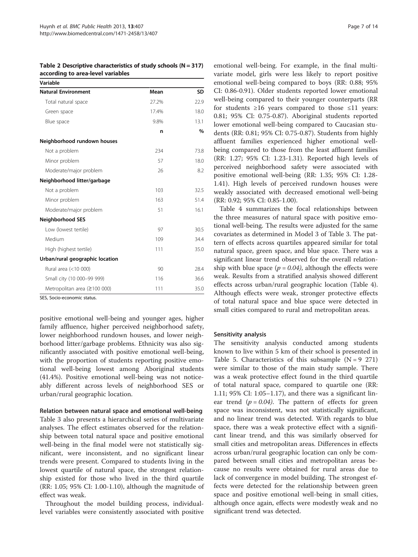<span id="page-6-0"></span>

|  | Table 2 Descriptive characteristics of study schools ( $N = 317$ ) |  |  |
|--|--------------------------------------------------------------------|--|--|
|  | according to area-level variables                                  |  |  |

| <b>Natural Environment</b>      | Mean  | <b>SD</b> |
|---------------------------------|-------|-----------|
| Total natural space             | 27.2% | 22.9      |
| Green space                     | 17.4% | 18.0      |
| Blue space                      | 9.8%  | 13.1      |
|                                 | n     | $\%$      |
| Neighborhood rundown houses     |       |           |
| Not a problem                   | 234   | 73.8      |
| Minor problem                   | 57    | 18.0      |
| Moderate/major problem          | 26    | 8.2       |
| Neighborhood litter/garbage     |       |           |
| Not a problem                   | 103   | 32.5      |
| Minor problem                   | 163   | 51.4      |
| Moderate/major problem          | 51    | 16.1      |
| Neighborhood SES                |       |           |
| Low (lowest tertile)            | 97    | 30.5      |
| Medium                          | 109   | 34.4      |
| High (highest tertile)          | 111   | 35.0      |
| Urban/rural geographic location |       |           |
| Rural area (<10 000)            | 90    | 28.4      |
| Small city (10 000-99 999)      | 116   | 36.6      |
| Metropolitan area (≥100 000)    | 111   | 35.0      |

SES, Socio-economic status

positive emotional well-being and younger ages, higher family affluence, higher perceived neighborhood safety, lower neighborhood rundown houses, and lower neighborhood litter/garbage problems. Ethnicity was also significantly associated with positive emotional well-being, with the proportion of students reporting positive emotional well-being lowest among Aboriginal students (41.4%). Positive emotional well-being was not noticeably different across levels of neighborhood SES or urban/rural geographic location.

Relation between natural space and emotional well-being Table [3](#page-7-0) also presents a hierarchical series of multivariate analyses. The effect estimates observed for the relationship between total natural space and positive emotional well-being in the final model were not statistically significant, were inconsistent, and no significant linear trends were present. Compared to students living in the lowest quartile of natural space, the strongest relationship existed for those who lived in the third quartile (RR: 1.05; 95% CI: 1.00-1.10), although the magnitude of effect was weak.

Throughout the model building process, individuallevel variables were consistently associated with positive emotional well-being. For example, in the final multivariate model, girls were less likely to report positive emotional well-being compared to boys (RR: 0.88; 95% CI: 0.86-0.91). Older students reported lower emotional well-being compared to their younger counterparts (RR for students  $\geq 16$  years compared to those  $\leq 11$  years: 0.81; 95% CI: 0.75-0.87). Aboriginal students reported lower emotional well-being compared to Caucasian students (RR: 0.81; 95% CI: 0.75-0.87). Students from highly affluent families experienced higher emotional wellbeing compared to those from the least affluent families (RR: 1.27; 95% CI: 1.23-1.31). Reported high levels of perceived neighborhood safety were associated with positive emotional well-being (RR: 1.35; 95% CI: 1.28- 1.41). High levels of perceived rundown houses were weakly associated with decreased emotional well-being (RR: 0.92; 95% CI: 0.85-1.00).

Table [4](#page-9-0) summarizes the focal relationships between the three measures of natural space with positive emotional well-being. The results were adjusted for the same covariates as determined in Model 3 of Table [3](#page-7-0). The pattern of effects across quartiles appeared similar for total natural space, green space, and blue space. There was a significant linear trend observed for the overall relationship with blue space ( $p = 0.04$ ), although the effects were weak. Results from a stratified analysis showed different effects across urban/rural geographic location (Table [4](#page-9-0)). Although effects were weak, stronger protective effects of total natural space and blue space were detected in small cities compared to rural and metropolitan areas.

#### Sensitivity analysis

The sensitivity analysis conducted among students known to live within 5 km of their school is presented in Table [5.](#page-9-0) Characteristics of this subsample  $(N = 9 271)$ were similar to those of the main study sample. There was a weak protective effect found in the third quartile of total natural space, compared to quartile one (RR: 1.11; 95% CI: 1:05–1.17), and there was a significant linear trend  $(p = 0.04)$ . The pattern of effects for green space was inconsistent, was not statistically significant, and no linear trend was detected. With regards to blue space, there was a weak protective effect with a significant linear trend, and this was similarly observed for small cities and metropolitan areas. Differences in effects across urban/rural geographic location can only be compared between small cities and metropolitan areas because no results were obtained for rural areas due to lack of convergence in model building. The strongest effects were detected for the relationship between green space and positive emotional well-being in small cities, although once again, effects were modestly weak and no significant trend was detected.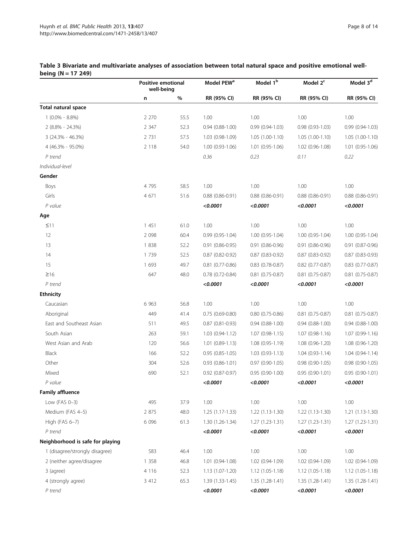|                                  | Positive emotional<br>well-being |      | Model PEW <sup>a</sup> | Model 1 <sup>b</sup>   | Model 2 <sup>c</sup>   | Model 3 <sup>d</sup>   |
|----------------------------------|----------------------------------|------|------------------------|------------------------|------------------------|------------------------|
|                                  | n                                | %    | RR (95% CI)            | RR (95% CI)            | RR (95% CI)            | RR (95% CI)            |
| <b>Total natural space</b>       |                                  |      |                        |                        |                        |                        |
| $1(0.0\% - 8.8\%)$               | 2 2 7 0                          | 55.5 | 1.00                   | 1.00                   | 1.00                   | 1.00                   |
| 2 (8.8% - 24.3%)                 | 2 3 4 7                          | 52.3 | $0.94(0.88-1.00)$      | $0.99(0.94-1.03)$      | $0.98(0.93 - 1.03)$    | $0.99(0.94-1.03)$      |
| 3 (24.3% - 46.3%)                | 2 7 3 1                          | 57.5 | 1.03 (0.98-1.09)       | $1.05(1.00-1.10)$      | $1.05(1.00-1.10)$      | $1.05(1.00-1.10)$      |
| 4 (46.3% - 95.0%)                | 2 1 1 8                          | 54.0 | $1.00(0.93-1.06)$      | $1.01(0.95-1.06)$      | $1.02(0.96 - 1.08)$    | $1.01(0.95-1.06)$      |
| P trend                          |                                  |      | 0.36                   | 0.23                   | 0.11                   | 0.22                   |
| Individual-level                 |                                  |      |                        |                        |                        |                        |
| Gender                           |                                  |      |                        |                        |                        |                        |
| Boys                             | 4 7 9 5                          | 58.5 | 1.00                   | 1.00                   | 1.00                   | 1.00                   |
| Girls                            | 4 671                            | 51.6 | $0.88$ $(0.86 - 0.91)$ | $0.88(0.86 - 0.91)$    | 0.88 (0.86-0.91)       | 0.88 (0.86-0.91)       |
| P value                          |                                  |      | < 0.0001               | < 0.0001               | < 0.0001               | < 0.0001               |
| Age                              |                                  |      |                        |                        |                        |                        |
| $\leq$ 11                        | 1 4 5 1                          | 61.0 | 1.00                   | 1.00                   | 1.00                   | 1.00                   |
| 12                               | 2 0 9 8                          | 60.4 | $0.99(0.95 - 1.04)$    | $1.00(0.95 - 1.04)$    | 1.00 (0.95-1.04)       | 1.00 (0.95-1.04)       |
| 13                               | 1838                             | 52.2 | $0.91(0.86 - 0.95)$    | $0.91(0.86 - 0.96)$    | $0.91(0.86 - 0.96)$    | $0.91(0.87-0.96)$      |
| 14                               | 1 7 3 9                          | 52.5 | $0.87(0.82 - 0.92)$    | $0.87(0.83 - 0.92)$    | $0.87(0.83 - 0.92)$    | $0.87(0.83 - 0.93)$    |
| 15                               | 1 6 9 3                          | 49.7 | $0.81$ $(0.77 - 0.86)$ | $0.83$ $(0.78 - 0.87)$ | $0.82$ (0.77-0.87)     | $0.83$ (0.77-0.87)     |
| $\geq 16$                        | 647                              | 48.0 | $0.78$ $(0.72 - 0.84)$ | $0.81(0.75-0.87)$      | $0.81$ $(0.75 - 0.87)$ | $0.81$ (0.75-0.87)     |
| P trend                          |                                  |      | < 0.0001               | < 0.0001               | < 0.0001               | < 0.0001               |
| <b>Ethnicity</b>                 |                                  |      |                        |                        |                        |                        |
| Caucasian                        | 6 9 63                           | 56.8 | 1.00                   | 1.00                   | 1.00                   | 1.00                   |
| Aboriginal                       | 449                              | 41.4 | $0.75(0.69-0.80)$      | $0.80(0.75-0.86)$      | $0.81$ (0.75-0.87)     | $0.81$ (0.75-0.87)     |
| East and Southeast Asian         | 511                              | 49.5 | $0.87(0.81 - 0.93)$    | $0.94(0.88 - 1.00)$    | $0.94(0.88-1.00)$      | $0.94$ $(0.88 - 1.00)$ |
| South Asian                      | 263                              | 59.1 | $1.03(0.94-1.12)$      | $1.07(0.98-1.15)$      | $1.07(0.98-1.16)$      | $1.07(0.99-1.16)$      |
| West Asian and Arab              | 120                              | 56.6 | $1.01(0.89-1.13)$      | $1.08(0.95-1.19)$      | 1.08 (0.96-1.20)       | $1.08(0.96-1.20)$      |
| Black                            | 166                              | 52.2 | $0.95(0.85-1.05)$      | $1.03(0.93-1.13)$      | $1.04(0.93-1.14)$      | $1.04(0.94-1.14)$      |
| Other                            | 304                              | 52.6 | $0.93(0.86-1.01)$      | $0.97(0.90-1.05)$      | $0.98(0.90-1.05)$      | $0.98(0.90-1.05)$      |
| Mixed                            | 690                              | 52.1 | $0.92$ $(0.87 - 0.97)$ | $0.95(0.90-1.00)$      | $0.95(0.90-1.01)$      | $0.95(0.90-1.01)$      |
| P value                          |                                  |      | < 0.0001               | < 0.0001               | < 0.0001               | < 0.0001               |
| <b>Family affluence</b>          |                                  |      |                        |                        |                        |                        |
| Low (FAS $0-3$ )                 | 495                              | 37.9 | 1.00                   | 1.00                   | 1.00                   | 1.00                   |
| Medium (FAS 4-5)                 | 2 8 7 5                          | 48.0 | $1.25(1.17-1.33)$      | $1.22(1.13-1.30)$      | $1.22(1.13-1.30)$      | $1.21(1.13-1.30)$      |
| High (FAS 6-7)                   | 6 0 9 6                          | 61.3 | $1.30(1.26-1.34)$      | $1.27(1.23-1.31)$      | $1.27(1.23-1.31)$      | $1.27(1.23-1.31)$      |
| P trend                          |                                  |      | < 0.0001               | < 0.0001               | < 0.0001               | < 0.0001               |
| Neighborhood is safe for playing |                                  |      |                        |                        |                        |                        |
| 1 (disagree/strongly disagree)   | 583                              | 46.4 | 1.00                   | 1.00                   | 1.00                   | 1.00                   |
| 2 (neither agree/disagree        | 1 3 5 8                          | 46.8 | 1.01 (0.94-1.08)       | 1.02 (0.94-1.09)       | 1.02 (0.94-1.09)       | 1.02 (0.94-1.09)       |
| 3 (agree)                        | 4 1 1 6                          | 52.3 | $1.13(1.07-1.20)$      | $1.12(1.05-1.18)$      | $1.12(1.05-1.18)$      | $1.12(1.05-1.18)$      |
| 4 (strongly agree)               | 3 4 1 2                          | 65.3 | $1.39(1.33-1.45)$      | $1.35(1.28-1.41)$      | $1.35(1.28-1.41)$      | $1.35(1.28-1.41)$      |
| P trend                          |                                  |      | < 0.0001               | < 0.0001               | < 0.0001               | < 0.0001               |

<span id="page-7-0"></span>

| Table 3 Bivariate and multivariate analyses of association between total natural space and positive emotional well- |  |
|---------------------------------------------------------------------------------------------------------------------|--|
| being $(N = 17, 249)$                                                                                               |  |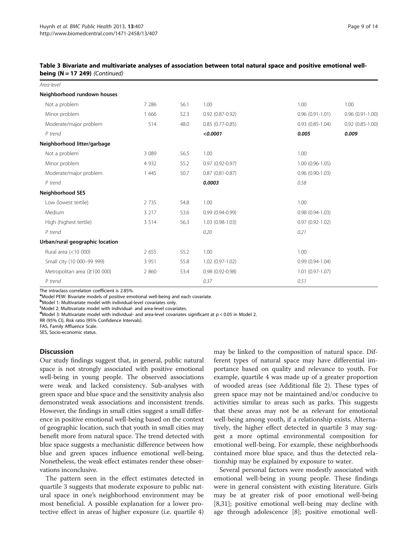| Area-level                      |         |      |                     |                     |                     |
|---------------------------------|---------|------|---------------------|---------------------|---------------------|
| Neighborhood rundown houses     |         |      |                     |                     |                     |
| Not a problem                   | 7 2 8 6 | 56.1 | 1.00                | 1.00                | 1.00                |
| Minor problem                   | 1 6 6 6 | 52.3 | $0.92(0.87 - 0.92)$ | $0.96(0.91 - 1.01)$ | $0.96(0.91-1.00)$   |
| Moderate/major problem          | 514     | 48.0 | $0.85(0.77-0.85)$   | $0.93(0.85-1.04)$   | $0.92(0.85 - 1.00)$ |
| P trend                         |         |      | < 0.0001            | 0.005               | 0.009               |
| Neighborhood litter/garbage     |         |      |                     |                     |                     |
| Not a problem                   | 3 0 8 9 | 56.5 | 1.00                | 1.00                |                     |
| Minor problem                   | 4 9 3 2 | 55.2 | $0.97(0.92 - 0.97)$ | $1.00(0.96 - 1.05)$ |                     |
| Moderate/major problem          | 1 4 4 5 | 50.7 | $0.87(0.81 - 0.87)$ | $0.96(0.90-1.03)$   |                     |
| P trend                         |         |      | 0.0003              | 0.58                |                     |
| Neighborhood SES                |         |      |                     |                     |                     |
| Low (lowest tertile)            | 2 7 3 5 | 54.8 | 1.00                | 1.00                |                     |
| Medium                          | 3 2 1 7 | 53.6 | $0.99(0.94-0.99)$   | $0.98(0.94-1.03)$   |                     |
| High (highest tertile)          | 3 5 1 4 | 56.3 | 1.03 (0.98-1.03)    | $0.97(0.92 - 1.02)$ |                     |
| P trend                         |         |      | 0.20                | 0.21                |                     |
| Urban/rural geographic location |         |      |                     |                     |                     |
| Rural area (<10 000)            | 2 6 5 5 | 55.2 | 1.00                | 1.00                |                     |
| Small city (10 000-99 999)      | 3 9 5 1 | 55.8 | 1.02 (0.97-1.02)    | $0.99(0.94 - 1.04)$ |                     |
| Metropolitan area (≥100 000)    | 2 8 6 0 | 53.4 | 0.98 (0.92-0.98)    | $1.01(0.97-1.07)$   |                     |
| P trend                         |         |      | 0.37                | 0.51                |                     |

#### Table 3 Bivariate and multivariate analyses of association between total natural space and positive emotional wellbeing  $(N = 17 249)$  (Continued)

The intraclass correlation coefficient is 2.85%.

<sup>a</sup>Model PEW: Bivariate models of positive emotional well-being and each covariate.

b Model 1: Multivariate model with individual-level covariates only.

c Model 2: Multivariate model with individual- and area-level covariates.

d Model 3: Multivariate model with individual- and area-level covariates significant at p < 0.05 in Model 2.

RR (95% CI), Risk ratio (95% Confidence Intervals).

FAS, Family Affluence Scale.

SES, Socio-economic status.

# **Discussion**

Our study findings suggest that, in general, public natural space is not strongly associated with positive emotional well-being in young people. The observed associations were weak and lacked consistency. Sub-analyses with green space and blue space and the sensitivity analysis also demonstrated weak associations and inconsistent trends. However, the findings in small cities suggest a small difference in positive emotional well-being based on the context of geographic location, such that youth in small cities may benefit more from natural space. The trend detected with blue space suggests a mechanistic difference between how blue and green spaces influence emotional well-being. Nonetheless, the weak effect estimates render these observations inconclusive.

The pattern seen in the effect estimates detected in quartile 3 suggests that moderate exposure to public natural space in one's neighborhood environment may be most beneficial. A possible explanation for a lower protective effect in areas of higher exposure (i.e. quartile 4)

may be linked to the composition of natural space. Different types of natural space may have differential importance based on quality and relevance to youth. For example, quartile 4 was made up of a greater proportion of wooded areas (see Additional file [2](#page-11-0)). These types of green space may not be maintained and/or conducive to activities similar to areas such as parks. This suggests that these areas may not be as relevant for emotional well-being among youth, if a relationship exists. Alternatively, the higher effect detected in quartile 3 may suggest a more optimal environmental composition for emotional well-being. For example, these neighborhoods contained more blue space, and thus the detected relationship may be explained by exposure to water.

Several personal factors were modestly associated with emotional well-being in young people. These findings were in general consistent with existing literature. Girls may be at greater risk of poor emotional well-being [[8,](#page-11-0)[31\]](#page-12-0); positive emotional well-being may decline with age through adolescence [\[8](#page-11-0)]; positive emotional well-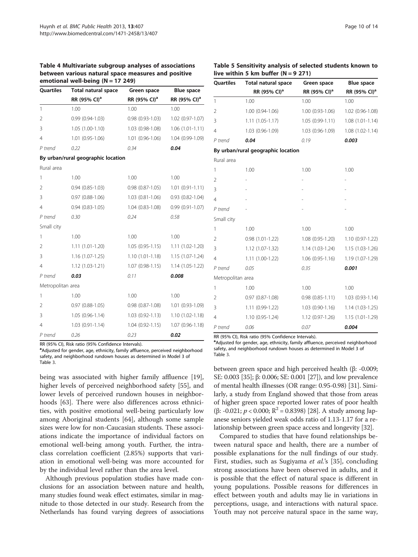#### <span id="page-9-0"></span>Table 4 Multivariate subgroup analyses of associations between various natural space measures and positive emotional well-being  $(N = 17, 249)$

| Quartiles         | Total natural space                | Green space              | <b>Blue space</b>        |
|-------------------|------------------------------------|--------------------------|--------------------------|
|                   | RR (95% CI) <sup>a</sup>           | RR (95% CI) <sup>a</sup> | RR (95% CI) <sup>a</sup> |
| 1                 | 1.00                               | 1.00                     | 1.00                     |
| $\overline{2}$    | $0.99(0.94-1.03)$                  | $0.98(0.93-1.03)$        | 1.02 (0.97-1.07)         |
| 3                 | $1.05(1.00-1.10)$                  | 1.03 (0.98-1.08)         | $1.06(1.01-1.11)$        |
| 4                 | $1.01(0.95-1.06)$                  | $1.01(0.96-1.06)$        | 1.04 (0.99-1.09)         |
| P trend           | 0.22                               | 0.34                     | 0.04                     |
|                   | By urban/rural geographic location |                          |                          |
| Rural area        |                                    |                          |                          |
| 1                 | 1.00                               | 1.00                     | 1.00                     |
| 2                 | $0.94(0.85-1.03)$                  | $0.98(0.87-1.05)$        | $1.01(0.91 - 1.11)$      |
| 3                 | $0.97(0.88-1.06)$                  | 1.03 (0.81-1.06)         | $0.93(0.82 - 1.04)$      |
| $\overline{4}$    | $0.94(0.83 - 1.05)$                | 1.04 (0.83-1.08)         | $0.99(0.91 - 1.07)$      |
| P trend           | 0.30                               | 0.24                     | 0.58                     |
| Small city        |                                    |                          |                          |
| 1                 | 1.00                               | 1.00                     | 1.00                     |
| 2                 | $1.11(1.01-1.20)$                  | $1.05(0.95-1.15)$        | $1.11(1.02-1.20)$        |
| 3                 | $1.16(1.07-1.25)$                  | $1.10(1.01 - 1.18)$      | $1.15(1.07-1.24)$        |
| 4                 | $1.12(1.03-1.21)$                  | 1.07 (0.98-1.15)         | $1.14(1.05-1.22)$        |
| P trend           | 0.03                               | 0.11                     | 0.008                    |
| Metropolitan area |                                    |                          |                          |
| 1                 | 1.00                               | 1.00                     | 1.00                     |
| 2                 | $0.97$ $(0.88 - 1.05)$             | 0.98 (0.87-1.08)         | 1.01 (0.93-1.09)         |
| 3                 | $1.05(0.96 - 1.14)$                | 1.03 (0.92-1.13)         | $1.10(1.02 - 1.18)$      |
| 4                 | $1.03(0.91 - 1.14)$                | $1.04(0.92 - 1.15)$      | $1.07(0.96 - 1.18)$      |
| P trend           | 0.26                               | 0.23                     | 0.02                     |

RR (95% CI), Risk ratio (95% Confidence Intervals).

a<br>Adjusted for gender, age, ethnicity, family affluence, perceived neighborhood safety, and neighborhood rundown houses as determined in Model 3 of Table [3](#page-7-0).

being was associated with higher family affluence [\[19](#page-12-0)], higher levels of perceived neighborhood safety [[55\]](#page-12-0), and lower levels of perceived rundown houses in neighborhoods [[63\]](#page-12-0). There were also differences across ethnicities, with positive emotional well-being particularly low among Aboriginal students [\[64](#page-12-0)], although some sample sizes were low for non-Caucasian students. These associations indicate the importance of individual factors on emotional well-being among youth. Further, the intraclass correlation coefficient (2.85%) supports that variation in emotional well-being was more accounted for by the individual level rather than the area level.

Although previous population studies have made conclusions for an association between nature and health, many studies found weak effect estimates, similar in magnitude to those detected in our study. Research from the Netherlands has found varying degrees of associations

#### Table 5 Sensitivity analysis of selected students known to live within 5 km buffer  $(N = 9 271)$

| Quartiles         | <b>Total natural space</b>         | Green space              | <b>Blue space</b>        |
|-------------------|------------------------------------|--------------------------|--------------------------|
|                   | RR (95% CI) <sup>a</sup>           | RR (95% CI) <sup>a</sup> | RR (95% CI) <sup>a</sup> |
| $\mathbf{1}$      | 1.00                               | 1.00                     | 1.00                     |
| 2                 | $1.00(0.94-1.06)$                  | $1.00(0.93-1.06)$        | $1.02(0.96-1.08)$        |
| 3                 | $1.11(1.05-1.17)$                  | $1.05(0.99-1.11)$        | $1.08(1.01-1.14)$        |
| 4                 | 1.03 (0.96-1.09)                   | 1.03 (0.96-1.09)         | $1.08(1.02 - 1.14)$      |
| P trend           | 0.04                               | 0.19                     | 0.003                    |
|                   | By urban/rural geographic location |                          |                          |
| Rural area        |                                    |                          |                          |
| 1                 | 1.00                               | 1.00                     | 1.00                     |
| $\overline{2}$    |                                    |                          |                          |
| 3                 |                                    |                          |                          |
| 4                 |                                    |                          |                          |
| P trend           |                                    |                          |                          |
| Small city        |                                    |                          |                          |
| 1                 | 1.00                               | 1.00                     | 1.00                     |
| $\overline{2}$    | $0.98(1.01-1.22)$                  | 1.08 (0.95-1.20)         | 1.10 (0.97-1.22)         |
| 3                 | $1.12(1.07-1.32)$                  | 1.14 (1.03-1.24)         | $1.15(1.03-1.26)$        |
| 4                 | $1.11(1.00-1.22)$                  | $1.06(0.95-1.16)$        | 1.19 (1.07-1.29)         |
| P trend           | 0.05                               | 0.35                     | 0.001                    |
| Metropolitan area |                                    |                          |                          |
| 1                 | 1.00                               | 1.00                     | 1.00                     |
| 2                 | $0.97(0.87-1.08)$                  | $0.98(0.85-1.11)$        | $1.03(0.93-1.14)$        |
| 3                 | 1.11 (0.99-1.22)                   | 1.03 (0.90-1.16)         | $1.14(1.03-1.25)$        |
| 4                 | $1.10(0.95 - 1.24)$                | 1.12 (0.97-1.26)         | $1.15(1.01-1.29)$        |
| P trend           | 0.06                               | 0.07                     | 0.004                    |

RR (95% CI), Risk ratio (95% Confidence Intervals).

a Adjusted for gender, age, ethnicity, family affluence, perceived neighborhood safety, and neighborhood rundown houses as determined in Model 3 of Table [3](#page-7-0).

between green space and high perceived health (β: -0.009; SE: 0.003 [[35](#page-12-0)]; β: 0.006; SE: 0.001 [\[27](#page-12-0)]), and low prevalence of mental health illnesses (OR range: 0.95-0.98) [[31](#page-12-0)]. Similarly, a study from England showed that those from areas of higher green space reported lower rates of poor health (β: -0.021;  $p < 0.000$ ;  $R^2 = 0.8398$ ) [\[28](#page-12-0)]. A study among Japanese seniors yielded weak odds ratio of 1.13-1.17 for a relationship between green space access and longevity [\[32\]](#page-12-0).

Compared to studies that have found relationships between natural space and health, there are a number of possible explanations for the null findings of our study. First, studies, such as Sugiyama et al.'s [[35](#page-12-0)], concluding strong associations have been observed in adults, and it is possible that the effect of natural space is different in young populations. Possible reasons for differences in effect between youth and adults may lie in variations in perceptions, usage, and interactions with natural space. Youth may not perceive natural space in the same way,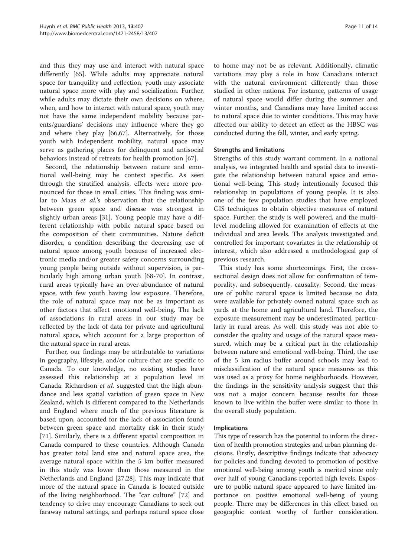and thus they may use and interact with natural space differently [[65](#page-12-0)]. While adults may appreciate natural space for tranquility and reflection, youth may associate natural space more with play and socialization. Further, while adults may dictate their own decisions on where, when, and how to interact with natural space, youth may not have the same independent mobility because parents/guardians' decisions may influence where they go and where they play [[66](#page-12-0),[67](#page-12-0)]. Alternatively, for those youth with independent mobility, natural space may serve as gathering places for delinquent and antisocial behaviors instead of retreats for health promotion [\[67](#page-12-0)].

Second, the relationship between nature and emotional well-being may be context specific. As seen through the stratified analysis, effects were more pronounced for those in small cities. This finding was similar to Maas et al.'s observation that the relationship between green space and disease was strongest in slightly urban areas [[31\]](#page-12-0). Young people may have a different relationship with public natural space based on the composition of their communities. Nature deficit disorder, a condition describing the decreasing use of natural space among youth because of increased electronic media and/or greater safety concerns surrounding young people being outside without supervision, is particularly high among urban youth [[68-70\]](#page-13-0). In contrast, rural areas typically have an over-abundance of natural space, with few youth having low exposure. Therefore, the role of natural space may not be as important as other factors that affect emotional well-being. The lack of associations in rural areas in our study may be reflected by the lack of data for private and agricultural natural space, which account for a large proportion of the natural space in rural areas.

Further, our findings may be attributable to variations in geography, lifestyle, and/or culture that are specific to Canada. To our knowledge, no existing studies have assessed this relationship at a population level in Canada. Richardson et al. suggested that the high abundance and less spatial variation of green space in New Zealand, which is different compared to the Netherlands and England where much of the previous literature is based upon, accounted for the lack of association found between green space and mortality risk in their study [[71\]](#page-13-0). Similarly, there is a different spatial composition in Canada compared to these countries. Although Canada has greater total land size and natural space area, the average natural space within the 5 km buffer measured in this study was lower than those measured in the Netherlands and England [\[27,28](#page-12-0)]. This may indicate that more of the natural space in Canada is located outside of the living neighborhood. The "car culture" [\[72\]](#page-13-0) and tendency to drive may encourage Canadians to seek out faraway natural settings, and perhaps natural space close

to home may not be as relevant. Additionally, climatic variations may play a role in how Canadians interact with the natural environment differently than those studied in other nations. For instance, patterns of usage of natural space would differ during the summer and winter months, and Canadians may have limited access to natural space due to winter conditions. This may have affected our ability to detect an effect as the HBSC was conducted during the fall, winter, and early spring.

# Strengths and limitations

Strengths of this study warrant comment. In a national analysis, we integrated health and spatial data to investigate the relationship between natural space and emotional well-being. This study intentionally focused this relationship in populations of young people. It is also one of the few population studies that have employed GIS techniques to obtain objective measures of natural space. Further, the study is well powered, and the multilevel modeling allowed for examination of effects at the individual and area levels. The analysis investigated and controlled for important covariates in the relationship of interest, which also addressed a methodological gap of previous research.

This study has some shortcomings. First, the crosssectional design does not allow for confirmation of temporality, and subsequently, causality. Second, the measure of public natural space is limited because no data were available for privately owned natural space such as yards at the home and agricultural land. Therefore, the exposure measurement may be underestimated, particularly in rural areas. As well, this study was not able to consider the quality and usage of the natural space measured, which may be a critical part in the relationship between nature and emotional well-being. Third, the use of the 5 km radius buffer around schools may lead to misclassification of the natural space measures as this was used as a proxy for home neighborhoods. However, the findings in the sensitivity analysis suggest that this was not a major concern because results for those known to live within the buffer were similar to those in the overall study population.

# Implications

This type of research has the potential to inform the direction of health promotion strategies and urban planning decisions. Firstly, descriptive findings indicate that advocacy for policies and funding devoted to promotion of positive emotional well-being among youth is merited since only over half of young Canadians reported high levels. Exposure to public natural space appeared to have limited importance on positive emotional well-being of young people. There may be differences in this effect based on geographic context worthy of further consideration.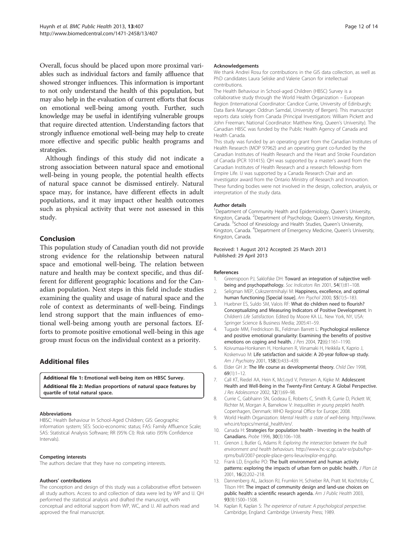<span id="page-11-0"></span>Overall, focus should be placed upon more proximal variables such as individual factors and family affluence that showed stronger influences. This information is important to not only understand the health of this population, but may also help in the evaluation of current efforts that focus on emotional well-being among youth. Further, such knowledge may be useful in identifying vulnerable groups that require directed attention. Understanding factors that strongly influence emotional well-being may help to create more effective and specific public health programs and strategies.

Although findings of this study did not indicate a strong association between natural space and emotional well-being in young people, the potential health effects of natural space cannot be dismissed entirely. Natural space may, for instance, have different effects in adult populations, and it may impact other health outcomes such as physical activity that were not assessed in this study.

# Conclusion

This population study of Canadian youth did not provide strong evidence for the relationship between natural space and emotional well-being. The relation between nature and health may be context specific, and thus different for different geographic locations and for the Canadian population. Next steps in this field include studies examining the quality and usage of natural space and the role of context as determinants of well-being. Findings lend strong support that the main influences of emotional well-being among youth are personal factors. Efforts to promote positive emotional well-being in this age group must focus on the individual context as a priority.

# Additional files

[Additional file 1:](http://www.biomedcentral.com/content/supplementary/1471-2458-13-407-S1.doc) Emotional well-being item on HBSC Survey. [Additional file 2:](http://www.biomedcentral.com/content/supplementary/1471-2458-13-407-S2.doc) Median proportions of natural space features by quartile of total natural space.

#### Abbreviations

HBSC: Health Behaviour In School-Aged Children; GIS: Geographic information system; SES: Socio-economic status; FAS: Family Affluence Scale; SAS: Statistical Analysis Software; RR (95% CI): Risk ratio (95% Confidence Intervals).

#### Competing interests

The authors declare that they have no competing interests.

#### Authors' contributions

The conception and design of this study was a collaborative effort between all study authors. Access to and collection of data were led by WP and IJ. QH performed the statistical analysis and drafted the manuscript, with conceptual and editorial support from WP, WC, and IJ. All authors read and approved the final manuscript.

#### Acknowledgements

We thank Andrei Rosu for contributions in the GIS data collection, as well as PhD candidates Laura Seliske and Valerie Carson for intellectual contributions.

The Health Behaviour in School-aged Children (HBSC) Survey is a collaborative study through the World Health Organization – European Region (International Coordinator: Candice Currie, University of Edinburgh; Data Bank Manager: Oddrun Samdal, University of Bergen). This manuscript reports data solely from Canada (Principal Investigators: William Pickett and John Freeman; National Coordinator: Matthew King, Queen's University). The Canadian HBSC was funded by the Public Health Agency of Canada and Health Canada.

This study was funded by an operating grant from the Canadian Institutes of Health Research (MOP 97962) and an operating grant co-funded by the Canadian Institutes of Health Research and the Heart and Stroke Foundation of Canada (PCR 101415). QH was supported by a master's award from the Canadian Institutes of Health Research and a research fellowship from Empire Life. IJ was supported by a Canada Research Chair and an investigator award from the Ontario Ministry of Research and Innovation. These funding bodies were not involved in the design, collection, analysis, or interpretation of the study data.

#### Author details

<sup>1</sup>Department of Community Health and Epidemiology, Queen's University Kingston, Canada. <sup>2</sup>Department of Psychology, Queen's University, Kingston Canada. <sup>3</sup>School of Kinesiology and Health Studies, Queen's University Kingston, Canada. <sup>4</sup>Department of Emergency Medicine, Queen's University Kingston, Canada.

Received: 1 August 2012 Accepted: 25 March 2013 Published: 29 April 2013

#### References

- 1. Greenspoon PJ, Saklofske DH: Toward an integration of subjective wellbeing and psychopathology. Soc Indicators Res 2001, 54(1):81-108.
- 2. Seligman MEP, Csikszentmihalyi M: Happiness, excellence, and optimal human functioning [Special issue]. Am Psychol 2000, 55(1):5–183.
- 3. Huebner ES, Suldo SM, Valois RF: What do children need to flourish? Conceptualizing and Measuring Indicators of Positive Development. In Children's Life Satisfaction. Edited by Moore KA LL. New York, NY, USA: Springer Science & Business Media; 2005:41–59.
- 4. Tugade MM, Fredrickson BL, Feldman Barrett L: Psychological resilience and positive emotional granularity: Examining the benefits of positive emotions on coping and health. *J Pers* 2004, 72(6):1161-1190.
- 5. Koivumaa-Honkanen H, Honkanen R, Viinamaki H, Heikkila K, Kaprio J, Koskenvuo M: Life satisfaction and suicide: A 20-year follow-up study. Am J Psychiatry 2001, 158(3):433–439.
- 6. Elder GH Jr: The life course as developmental theory. Child Dev 1998, 69(1):1–12.
- 7. Call KT, Riedel AA, Hein K, McLoyd V, Petersen A, Kipke M: Adolescent Health and Well-Being in the Twenty-First Century: A Global Perspective. J Res Adolescence 2002, 12(1):69–98.
- 8. Currie C, Gabhainn SN, Godeau E, Roberts C, Smith R, Currie D, Pickett W, Richter M, Morgan A, Barnekow V: Inequalities in young people's health. Copenhagen, Denmark: WHO Regional Office for Europe; 2008.
- 9. World Health Organization: Mental Health: a state of well-being. [http://www.](http://www.who.int/topics/mental_health/en/) [who.int/topics/mental\\_health/en/](http://www.who.int/topics/mental_health/en/).
- 10. Canada H: Strategies for population health Investing in the health of Canadians. Probe 1996, 30(3):106–108.
- 11. Grenon J, Butler G, Adams R: Exploring the intersection between the built environment and health behaviours. [http://www.hc-sc.gc.ca/sr-sr/pubs/hpr](http://www.hc-sc.gc.ca/sr-sr/pubs/hpr-rpms/bull/2007-people-place-gens-lieux/explor-eng.php)[rpms/bull/2007-people-place-gens-lieux/explor-eng.php.](http://www.hc-sc.gc.ca/sr-sr/pubs/hpr-rpms/bull/2007-people-place-gens-lieux/explor-eng.php)
- 12. Frank LD, Engelke PO: The built environment and human activity patterns: exploring the impacts of urban form on public health. J Plan Lit 2001, 16(2):202–218.
- 13. Dannenberg AL, Jackson RJ, Frumkin H, Schieber RA, Pratt M, Kochtitzky C, Tilson HH: The impact of community design and land-use choices on public health: a scientific research agenda. Am J Public Health 2003, 93(9):1500–1508.
- 14. Kaplan R, Kaplan S: The experience of nature: A psychological perspective. Cambridge, England: Cambridge University Press; 1989.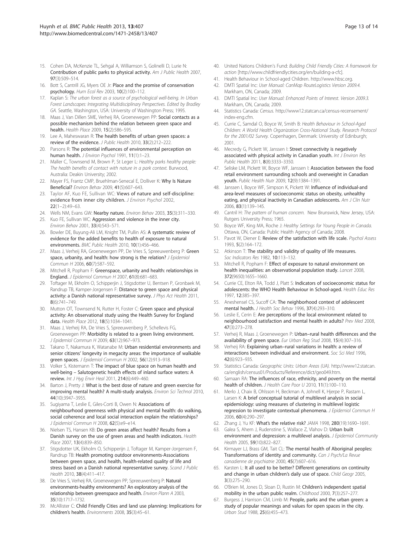- <span id="page-12-0"></span>15. Cohen DA, McKenzie TL, Sehgal A, Williamson S, Golinelli D, Lurie N: Contribution of public parks to physical activity. Am J Public Health 2007, 97(3):509–514.
- 16. Bott S, Cantrill JG, Myers OE Jr: Place and the promise of conservation psychology. Hum Ecol Rev 2003, 10(2):100–112.
- 17. Kaplan S: The urban forest as a source of psychological well-being. In Urban Forest Landscapes: Integrating Multidisciplinary Perspectives. Edited by Bradley GA. Seattle, Washington, USA: University of Washington Press; 1995.
- 18. Maas J, Van Dillen SME, Verheij RA, Groenewegen PP: Social contacts as a possible mechanism behind the relation between green space and health. Health Place 2009, 15(2):586–595.
- 19. Lee A, Maheswaran R: The health benefits of urban green spaces: a review of the evidence. J Public Health 2010, 33(2):212–222.
- 20. Parsons R: The potential influences of environmental perception on human health. J Environ Psychol 1991, 11(1):1-23.
- 21. Maller C, Townsend M, Brown P, St Leger L: Healthy parks healthy people: The health benefits of contact with nature in a park context. Burwood, Australia: Deakin University; 2002.
- 22. Mayer FS, Frantz CMP, Bruehlman-Senecal E, Dolliver K: Why Is Nature Beneficial? Environ Behav 2009, 41(5):607–643.
- 23. Taylor AF, Kuo FE, Sullivan WC: Views of nature and self-discipline: evidence from inner city children. J Environ Psychol 2002,  $22(1-2):49-63$ .
- 24. Wells NM, Evans GW: Nearby nature. Environ Behav 2003, 35(3):311-330.
- 25. Kuo FE, Sullivan WC: Aggression and violence in the inner city. Environ Behav 2001, 33(4):543–571.
- 26. Bowler DE, Buyung-Ali LM, Knight TM, Pullin AS: A systematic review of evidence for the added benefits to health of exposure to natural environments. BMC Public Health 2010, 10(1):456-466.
- 27. Maas J, Verheij RA, Groenewegen PP, De Vries S, Spreeuwenberg P: Green space, urbanity, and health: how strong is the relation? J Epidemiol Commun H 2006, 60(7):587–592.
- 28. Mitchell R, Popham F: Greenspace, urbanity and health: relationships in England. J Epidemiol Commun H 2007, 61(8):681–683.
- 29. Toftager M, Ekholm O, Schipperjin J, Stigsdotter U, Bentsen P, Gronbaek M, Randrup TB, Kamper-Jorgensen F: Distance to green space and physical activity: a Danish national representative survey. J Phys Act Health 2011, 8(6):741–749.
- 30. Mutton OT, Townsend N, Rutter H, Foster C: Green space and physical activity: An observational study using the Health Survey for England data. Health Place 2012, 18(5):1034–1041.
- 31. Maas J, Verheij RA, De Vries S, Spreeuwenberg P, Schellevis FG, Groenewegen PP: Morbidity is related to a green living environment. J Epidemiol Commun H 2009, 63(12):967–973.
- 32. Takano T, Nakamura K, Watanabe M: Urban residential environments and senior citizens' longevity in megacity areas: the importance of walkable green spaces. J Epidemiol Commun H 2002, 56(12):913-918.
- 33. Volker S, Kistemann T: The impact of blue space on human health and well-being – Salutogenetic health effects of inland surface waters: A review. Int J Hyg Envir Heal 2011, 214(6):449–460.
- 34. Barton J, Pretty J: What is the best dose of nature and green exercise for improving mental health? A multi-study analysis. Environ Sci Technol 2010, 44(10):3947–3955.
- 35. Sugiyama T, Leslie E, Giles-Corti B, Owen N: Associations of neighbourhood greenness with physical and mental health: do walking, social coherence and local social interaction explain the relationships? J Epidemiol Commun H 2008, 62(5):e9–e14.
- 36. Nielsen TS, Hansen KB: Do green areas affect health? Results from a Danish survey on the use of green areas and health indicators. Health Place 2007, 13(4):839–850.
- 37. Stigsdotter UK, Ekholm O, Schipperijn J, Toftager M, Kamper-Jorgensen F, Randrup TB: Health promoting outdoor environments-Associations between green space, and health, health-related quality of life and stress based on a Danish national representative survey. Scand J Public Health 2010, 38(4):411–417.
- 38. De Vries S, Verheij RA, Groenewegen PP, Spreeuwenberg P: Natural environments-healthy environments? An exploratory analysis of the relationship between greenspace and health. Environ Plann A 2003, 35(10):1717–1732.
- 39. McAllister C: Child Friendly Cities and land use planning: Implications for children's health. Environments 2008, 35(3):45–61.
- 40. United Nations Children's Fund: Building Child Friendly Cities: A framework for action [<http://www.childfriendlycities.org/en/building-a-cfc>].
- 41. Health Behaviour in School-aged Children. [http://www.hbsc.org.](http://www.hbsc.org)
- 42. DMTI Spatial Inc: User Manual: CanMap RouteLogistics Version 2009.4. Markham, ON, Canada; 2009.
- 43. DMTI Spatial Inc: User Manual: Enhanced Points of Interest. Version 2009.3. Markham, ON, Canada; 2009.
- 44. Statistics Canada: Census. [http://www12.statcan.ca/census-recensement/](http://www12.statcan.ca/census-recensement/index-eng.cfm) [index-eng.cfm](http://www12.statcan.ca/census-recensement/index-eng.cfm).
- 45. Currie C, Samdal O, Boyce W, Smith B: Health Behaviour in School-Aged Children: A World Health Organization Cross-National Study. Research Protocol for the 2001/02 Survey. Copenhagen, Denmark: University of Edinburgh; 2001.
- 46. Mecredy G, Pickett W, Janssen I: Street connectivity is negatively associated with physical activity in Canadian youth. Int J Environ Res Public Health 2011, 8(8):3333–3350.
- 47. Seliske LM, Pickett W, Boyce WF, Janssen I: Association between the food retail environment surrounding schools and overweight in Canadian youth. Public Health Nutr 2009, 12(9):1384–1391.
- 48. Janssen I, Boyce WF, Simpson K, Pickett W: Influence of individual-and area-level measures of socioeconomic status on obesity, unhealthy eating, and physical inactivity in Canadian adolescents. Am J Clin Nutr 2006, 83(1):139–145.
- 49. Cantril H: The pattern of human concern. New Brunswick, New Jersey, USA: Rutgers University Press; 1965.
- 50. Boyce WF, King MA, Roche J: Healthy Settings for Young People in Canada. Ottawa, ON, Canada: Public Health Agency of Canada; 2008.
- 51. Pavot W, Diener E: Review of the satisfaction with life scale. Psychol Assess 1993, 5(2):164–172.
- 52. Atkinson T: The stability and validity of quality of life measures. Soc Indicators Res 1982, 10:113–132.
- 53. Mitchell R, Popham F: Effect of exposure to natural environment on health inequalities: an observational population study. Lancet 2008, 372(9650):1655–1660.
- 54. Currie CE, Elton RA, Todd J, Platt S: Indicators of socioeconomic status for adolescents: the WHO Health Behaviour in School-aged. Health Educ Res 1997, 12:385–397.
- 55. Aneshensel CS, Sucoff CA: The neighborhood context of adolescent mental health. J Health Soc Behav 1996, 37(4):293–310.
- Leslie E, Cerin E: Are perceptions of the local environment related to neighbourhood satisfaction and mental health in adults? Prev Med 2008, 47(3):273–278.
- Verheij R, Maas J, Groenewegen P: Urban-rural health differences and the availability of green space. Eur Urban Reg Stud 2008, 15(4):307–316.
- 58. Verheij RA: Explaining urban–rural variations in health: a review of interactions between individual and environment. Soc Sci Med 1996, 42(6):923–935.
- 59. Statistics Canada: Geographic Units: Urban Areas (UA). [http://www12.statcan.](http://www12.statcan.ca/english/census01/Products/Reference/dict/geo049.htm) [ca/english/census01/Products/Reference/dict/geo049.htm.](http://www12.statcan.ca/english/census01/Products/Reference/dict/geo049.htm)
- Samaan RA: The influences of race, ethnicity, and poverty on the mental health of children. J Health Care Poor U 2010, 11(1):100-110.
- 61. Merlo J, Chaix B, Ohlsson H, Beckman A, Johnell K, Hjerpe P, Rastam L, Larsen K: A brief conceptual tutorial of multilevel analysis in social epidemiology: using measures of clustering in multilevel logistic regression to investigate contextual phenomena. J Epidemiol Commun H 2006, 60(4):290–297.
- 62. Zhang J, Yu KF: What's the relative risk? JAMA 1998, 280(19):1690–1691.
- 63. Galea S, Ahern J, Rudenstine S, Wallace Z, Vlahov D: Urban built environment and depression: a multilevel analysis. J Epidemiol Community Health 2005, 59(10):822–827.
- 64. Kirmayer LJ, Brass GM, Tait CL: The mental health of Aboriginal peoples: Transformations of identity and community. Can J Psych/La Revue canadienne de psychiatrie 2000, 45(7):607–616.
- 65. Karsten L: It all used to be better? Different generations on continuity and change in urban children's daily use of space. Child Geogr 2005, 3(3):275–290.
- 66. O'Brien M, Jones D, Sloan D, Rustin M: Children's independent spatial mobility in the urban public realm. Childhood 2000, 7(3):257–277.
- 67. Burgess J, Harrison CM, Limb M: People, parks and the urban green: a study of popular meanings and values for open spaces in the city. Urban Stud 1988, 25(6):455–473.